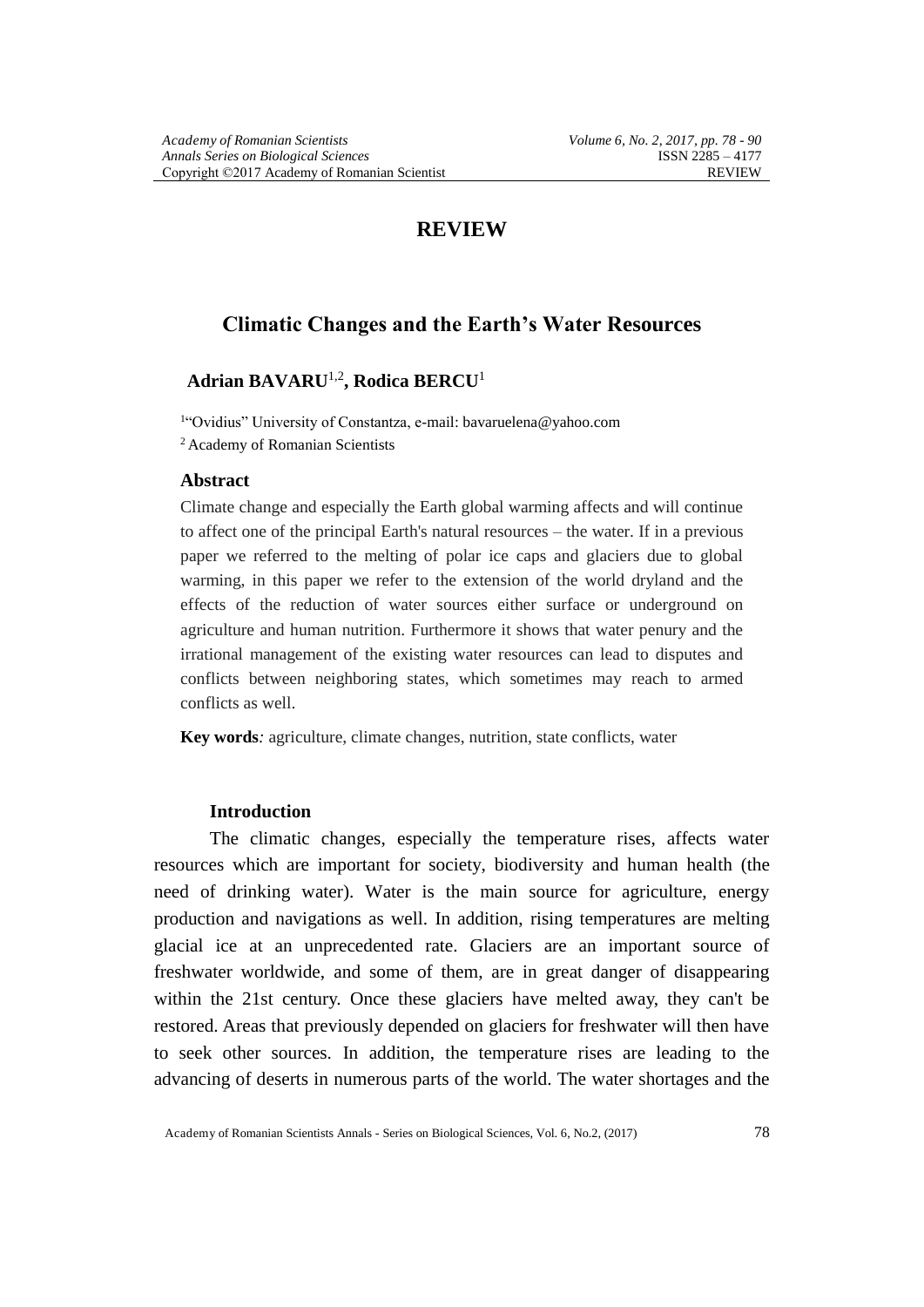## **REVIEW**

# **Climatic Changes and the Earth's Water Resources**

## **Adrian BAVARU**1,2**, Rodica BERCU**<sup>1</sup>

1 "Ovidius" University of Constantza, e-mail: bavaruelena@yahoo.com <sup>2</sup> Academy of Romanian Scientists

### **Abstract**

Climate change and especially the Earth global warming affects and will continue to affect one of the principal Earth's natural resources – the water. If in a previous paper we referred to the melting of polar ice caps and glaciers due to global warming, in this paper we refer to the extension of the world dryland and the effects of the reduction of water sources either surface or underground on agriculture and human nutrition. Furthermore it shows that water penury and the irrational management of the existing water resources can lead to disputes and conflicts between neighboring states, which sometimes may reach to armed conflicts as well.

**Key words***:* agriculture, climate changes, nutrition, state conflicts, water

## **Introduction**

The climatic changes, especially the temperature rises, affects water resources which are important for society, biodiversity and human health (the need of drinking water). Water is the main source for agriculture, energy production and navigations as well. In addition, rising temperatures are melting glacial ice at an unprecedented rate. Glaciers are an important source of freshwater worldwide, and some of them, are in great danger of disappearing within the 21st century. Once these glaciers have melted away, they can't be restored. Areas that previously depended on glaciers for freshwater will then have to seek other sources. In addition, the temperature rises are leading to the advancing of deserts in numerous parts of the world. The water shortages and the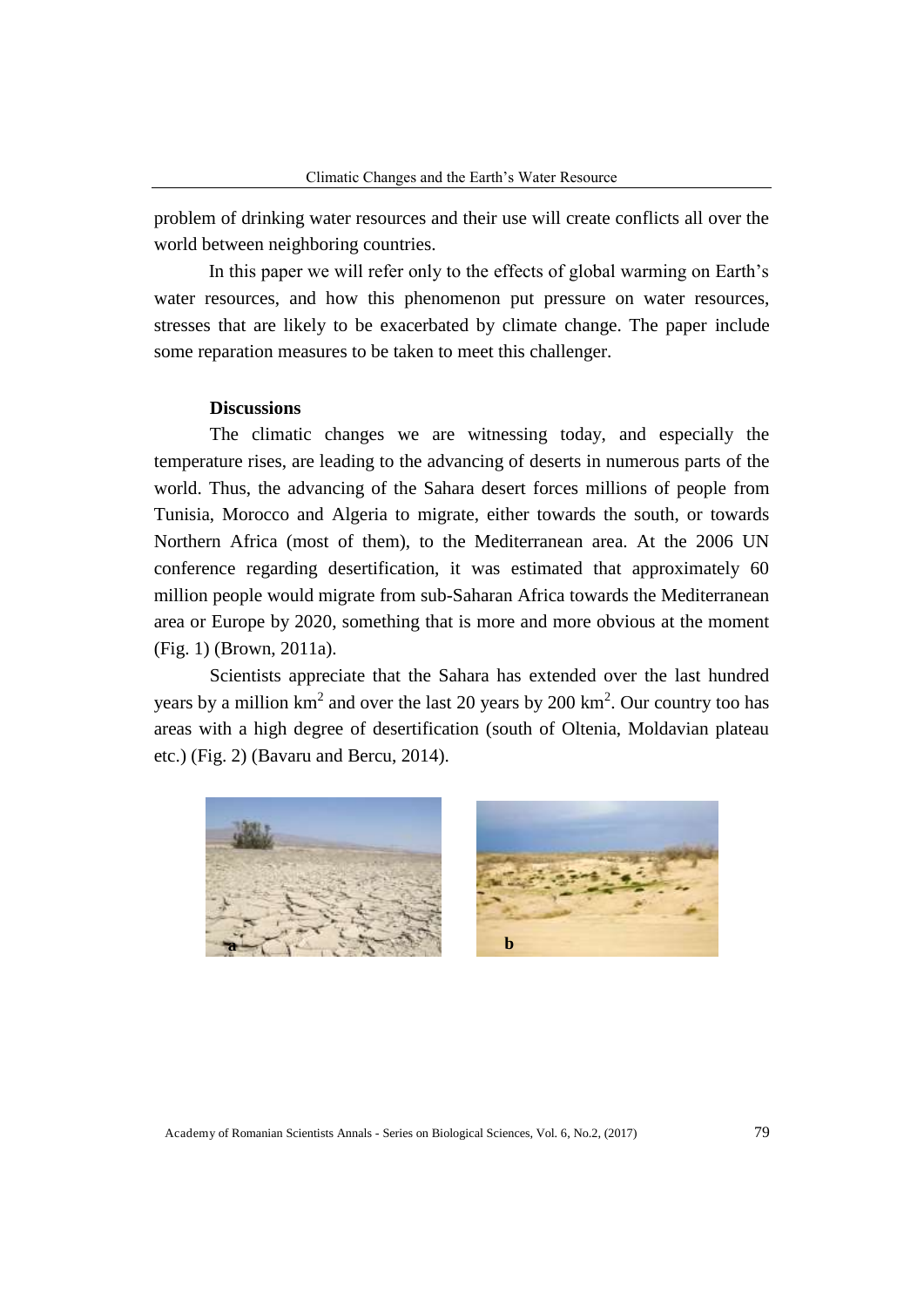problem of drinking water resources and their use will create conflicts all over the world between neighboring countries.

In this paper we will refer only to the effects of global warming on Earth's water resources, and how this phenomenon put pressure on water resources, stresses that are likely to be exacerbated by climate change. The paper include some reparation measures to be taken to meet this challenger.

### **Discussions**

The climatic changes we are witnessing today, and especially the temperature rises, are leading to the advancing of deserts in numerous parts of the world. Thus, the advancing of the Sahara desert forces millions of people from Tunisia, Morocco and Algeria to migrate, either towards the south, or towards Northern Africa (most of them), to the Mediterranean area. At the 2006 UN conference regarding desertification, it was estimated that approximately 60 million people would migrate from sub-Saharan Africa towards the Mediterranean area or Europe by 2020, something that is more and more obvious at the moment (Fig. 1) (Brown, 2011a).

Scientists appreciate that the Sahara has extended over the last hundred years by a million  $km^2$  and over the last 20 years by 200  $km^2$ . Our country too has areas with a high degree of desertification (south of Oltenia, Moldavian plateau etc.) (Fig. 2) (Bavaru and Bercu, 2014).



Academy of Romanian Scientists Annals - Series on Biological Sciences, Vol. 6, No.2, (2017) 79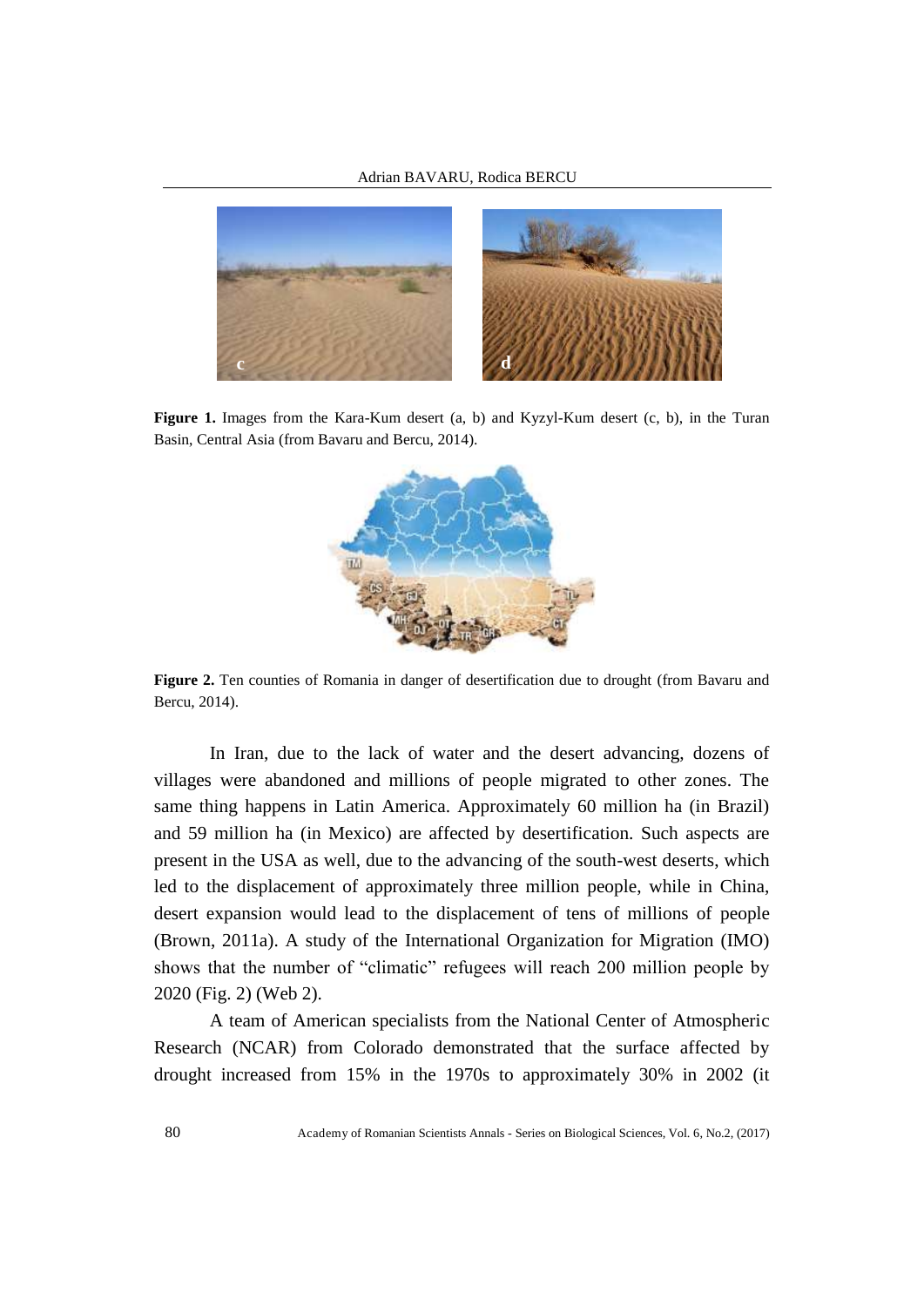

**Figure** 1. Images from the Kara-Kum desert (a, b) and Kyzyl-Kum desert (c, b), in the Turan Basin, Central Asia (from Bavaru and Bercu, 2014).



**Figure 2.** Ten counties of Romania in danger of desertification due to drought (from Bavaru and Bercu, 2014).

In Iran, due to the lack of water and the desert advancing, dozens of villages were abandoned and millions of people migrated to other zones. The same thing happens in Latin America. Approximately 60 million ha (in Brazil) and 59 million ha (in Mexico) are affected by desertification. Such aspects are present in the USA as well, due to the advancing of the south-west deserts, which led to the displacement of approximately three million people, while in China, desert expansion would lead to the displacement of tens of millions of people (Brown, 2011a). A study of the International Organization for Migration (IMO) shows that the number of "climatic" refugees will reach 200 million people by 2020 (Fig. 2) (Web 2).

A team of American specialists from the National Center of Atmospheric Research (NCAR) from Colorado demonstrated that the surface affected by drought increased from 15% in the 1970s to approximately 30% in 2002 (it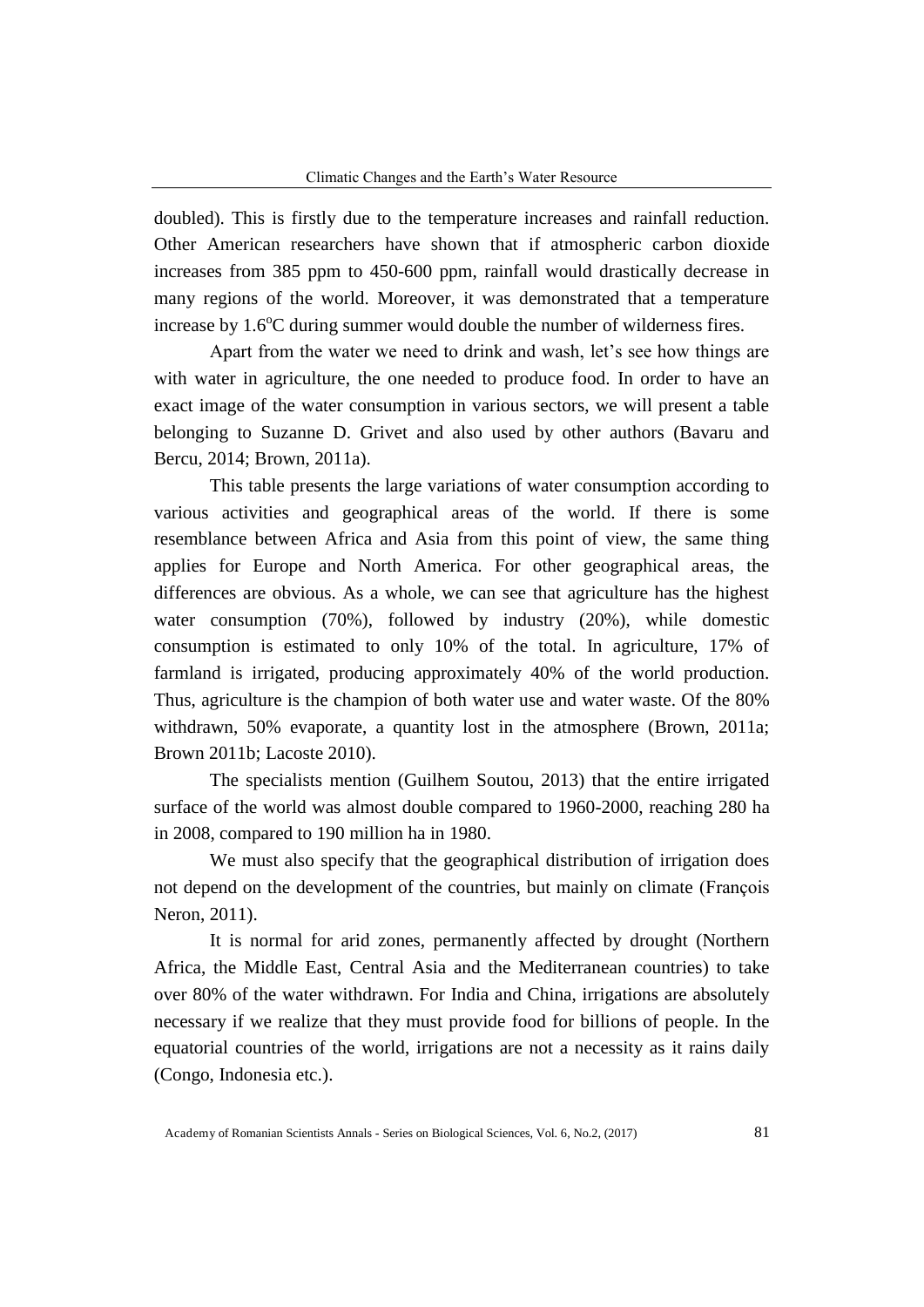doubled). This is firstly due to the temperature increases and rainfall reduction. Other American researchers have shown that if atmospheric carbon dioxide increases from 385 ppm to 450-600 ppm, rainfall would drastically decrease in many regions of the world. Moreover, it was demonstrated that a temperature increase by  $1.6^{\circ}$ C during summer would double the number of wilderness fires.

Apart from the water we need to drink and wash, let's see how things are with water in agriculture, the one needed to produce food. In order to have an exact image of the water consumption in various sectors, we will present a table belonging to Suzanne D. Grivet and also used by other authors (Bavaru and Bercu, 2014; Brown, 2011a).

This table presents the large variations of water consumption according to various activities and geographical areas of the world. If there is some resemblance between Africa and Asia from this point of view, the same thing applies for Europe and North America. For other geographical areas, the differences are obvious. As a whole, we can see that agriculture has the highest water consumption (70%), followed by industry (20%), while domestic consumption is estimated to only 10% of the total. In agriculture, 17% of farmland is irrigated, producing approximately 40% of the world production. Thus, agriculture is the champion of both water use and water waste. Of the 80% withdrawn, 50% evaporate, a quantity lost in the atmosphere (Brown, 2011a; Brown 2011b; Lacoste 2010).

The specialists mention (Guilhem Soutou, 2013) that the entire irrigated surface of the world was almost double compared to 1960-2000, reaching 280 ha in 2008, compared to 190 million ha in 1980.

We must also specify that the geographical distribution of irrigation does not depend on the development of the countries, but mainly on climate (François Neron, 2011).

It is normal for arid zones, permanently affected by drought (Northern Africa, the Middle East, Central Asia and the Mediterranean countries) to take over 80% of the water withdrawn. For India and China, irrigations are absolutely necessary if we realize that they must provide food for billions of people. In the equatorial countries of the world, irrigations are not a necessity as it rains daily (Congo, Indonesia etc.).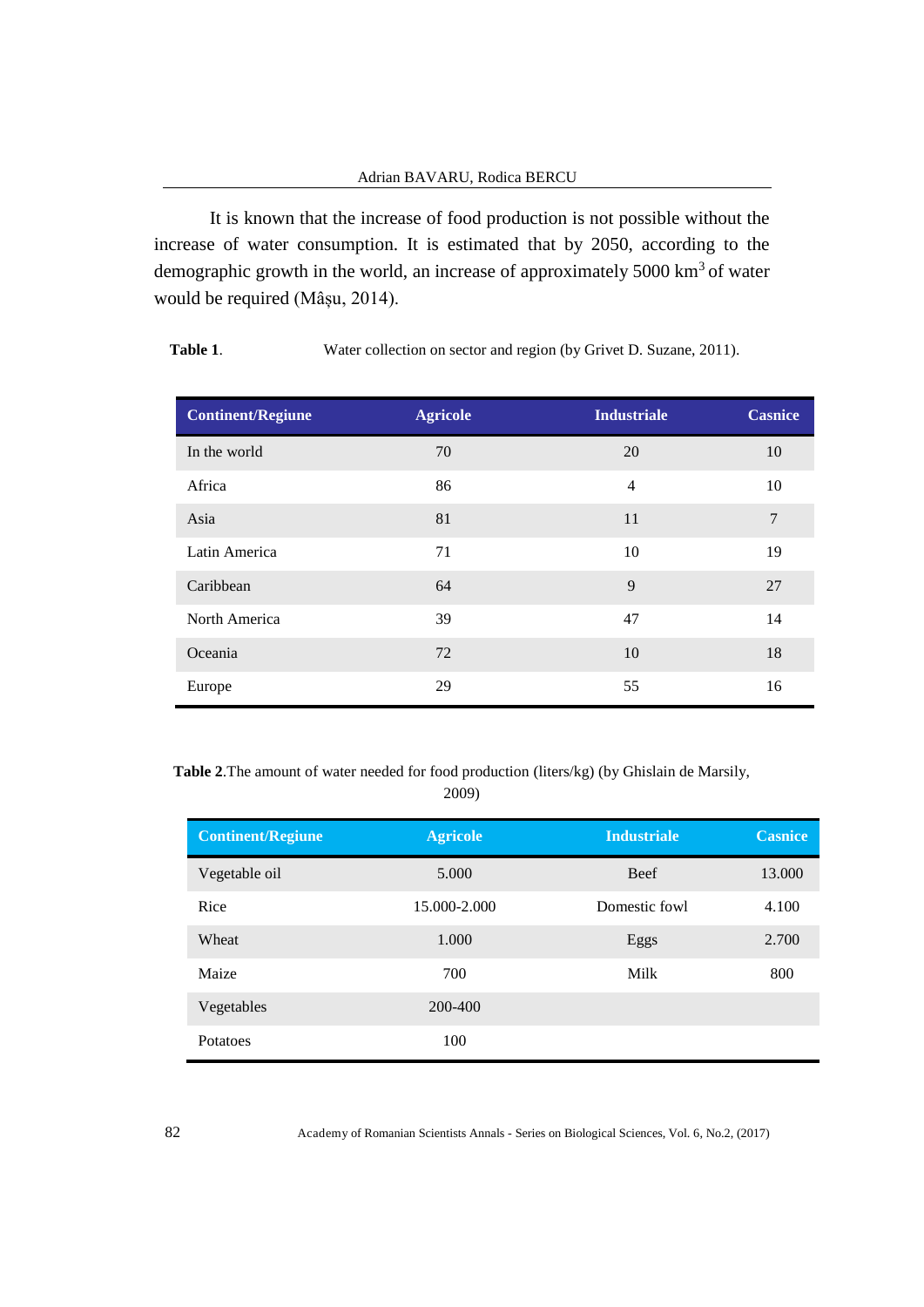It is known that the increase of food production is not possible without the increase of water consumption. It is estimated that by 2050, according to the demographic growth in the world, an increase of approximately  $5000 \text{ km}^3$  of water would be required (Mâșu, 2014).

| <b>Continent/Regiune</b> | <b>Agricole</b> | <b>Industriale</b> | <b>Casnice</b> |
|--------------------------|-----------------|--------------------|----------------|
| In the world             | 70              | 20                 | 10             |
| Africa                   | 86              | $\overline{4}$     | 10             |
| Asia                     | 81              | 11                 | $\tau$         |
| Latin America            | 71              | 10                 | 19             |
| Caribbean                | 64              | 9                  | 27             |
| North America            | 39              | 47                 | 14             |
| Oceania                  | 72              | 10                 | 18             |
| Europe                   | 29              | 55                 | 16             |

Table 1. Water collection on sector and region (by Grivet D. Suzane, 2011).

**Table 2**.The amount of water needed for food production (liters/kg) (by Ghislain de Marsily,

2009)

| <b>Continent/Regiune</b> | <b>Agricole</b> | <b>Industriale</b> | <b>Casnice</b> |
|--------------------------|-----------------|--------------------|----------------|
| Vegetable oil            | 5.000           | <b>Beef</b>        | 13.000         |
| Rice                     | 15.000-2.000    | Domestic fowl      | 4.100          |
| Wheat                    | 1.000           | Eggs               | 2.700          |
| Maize                    | 700             | Milk               | 800            |
| Vegetables               | 200-400         |                    |                |
| Potatoes                 | 100             |                    |                |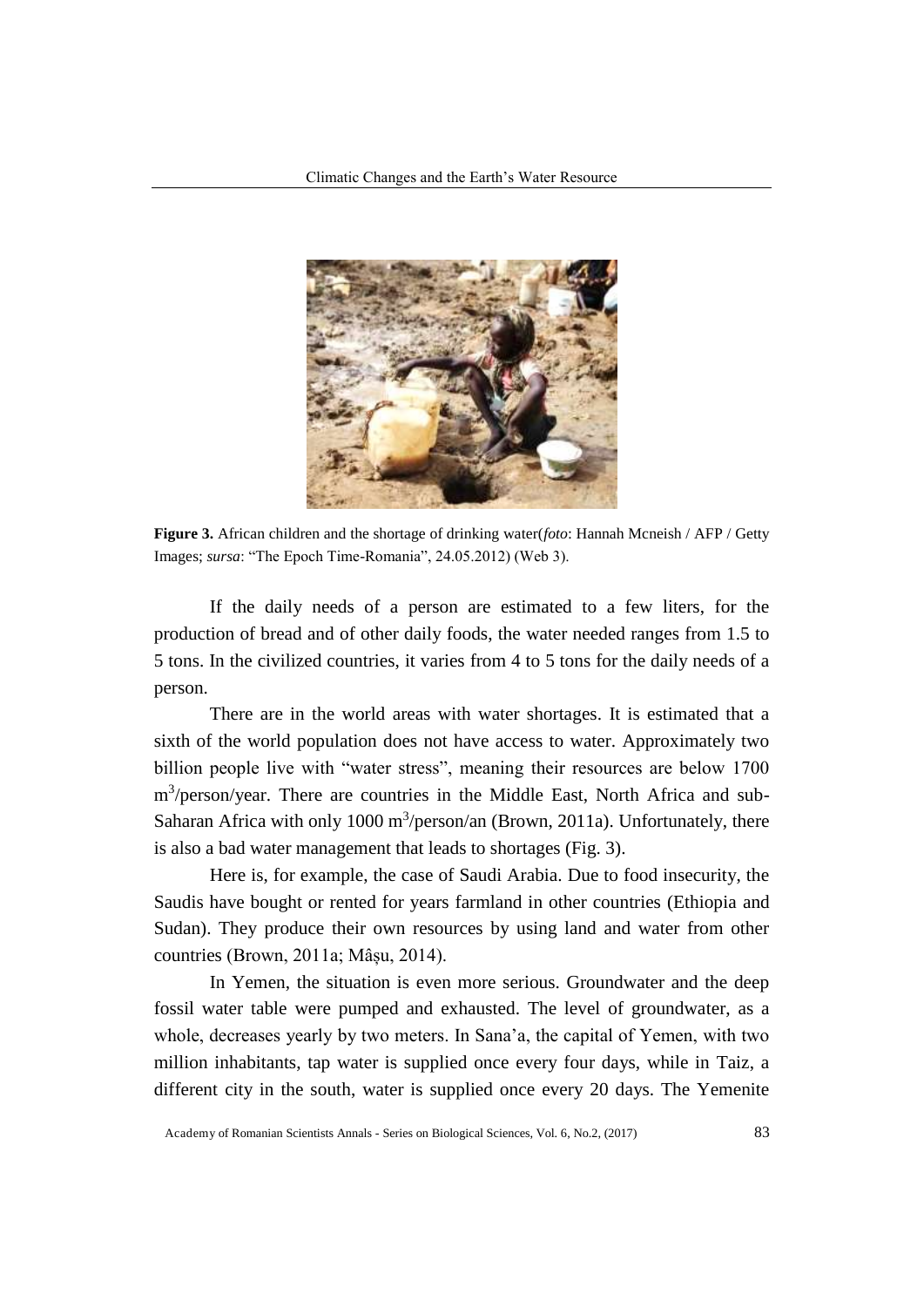

**Figure 3.** African children and the shortage of drinking water(*foto*: Hannah Mcneish / AFP / Getty Images; *sursa*: "The Epoch Time-Romania", 24.05.2012) (Web 3).

If the daily needs of a person are estimated to a few liters, for the production of bread and of other daily foods, the water needed ranges from 1.5 to 5 tons. In the civilized countries, it varies from 4 to 5 tons for the daily needs of a person.

There are in the world areas with water shortages. It is estimated that a sixth of the world population does not have access to water. Approximately two billion people live with "water stress", meaning their resources are below 1700 m<sup>3</sup>/person/year. There are countries in the Middle East, North Africa and sub-Saharan Africa with only  $1000 \text{ m}^3/\text{person}/\text{an}$  (Brown, 2011a). Unfortunately, there is also a bad water management that leads to shortages (Fig. 3).

Here is, for example, the case of Saudi Arabia. Due to food insecurity, the Saudis have bought or rented for years farmland in other countries (Ethiopia and Sudan). They produce their own resources by using land and water from other countries (Brown, 2011a; Mâșu, 2014).

In Yemen, the situation is even more serious. Groundwater and the deep fossil water table were pumped and exhausted. The level of groundwater, as a whole, decreases yearly by two meters. In Sana'a, the capital of Yemen, with two million inhabitants, tap water is supplied once every four days, while in Taiz, a different city in the south, water is supplied once every 20 days. The Yemenite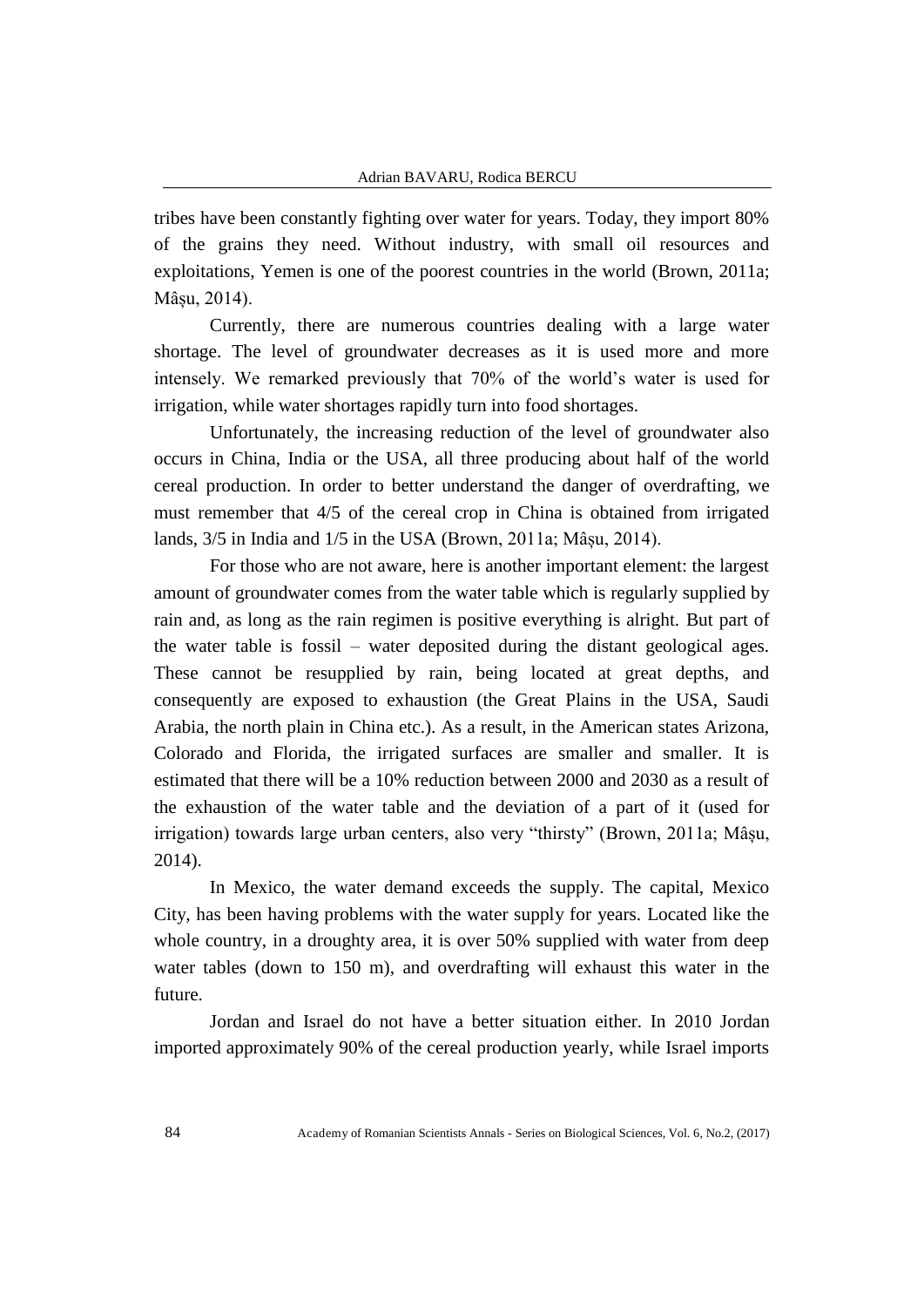tribes have been constantly fighting over water for years. Today, they import 80% of the grains they need. Without industry, with small oil resources and exploitations, Yemen is one of the poorest countries in the world (Brown, 2011a; Mâșu, 2014).

Currently, there are numerous countries dealing with a large water shortage. The level of groundwater decreases as it is used more and more intensely. We remarked previously that 70% of the world's water is used for irrigation, while water shortages rapidly turn into food shortages.

Unfortunately, the increasing reduction of the level of groundwater also occurs in China, India or the USA, all three producing about half of the world cereal production. In order to better understand the danger of overdrafting, we must remember that 4/5 of the cereal crop in China is obtained from irrigated lands, 3/5 in India and 1/5 in the USA (Brown, 2011a; Mâșu, 2014).

For those who are not aware, here is another important element: the largest amount of groundwater comes from the water table which is regularly supplied by rain and, as long as the rain regimen is positive everything is alright. But part of the water table is fossil – water deposited during the distant geological ages. These cannot be resupplied by rain, being located at great depths, and consequently are exposed to exhaustion (the Great Plains in the USA, Saudi Arabia, the north plain in China etc.). As a result, in the American states Arizona, Colorado and Florida, the irrigated surfaces are smaller and smaller. It is estimated that there will be a 10% reduction between 2000 and 2030 as a result of the exhaustion of the water table and the deviation of a part of it (used for irrigation) towards large urban centers, also very "thirsty" (Brown, 2011a; Mâșu, 2014).

In Mexico, the water demand exceeds the supply. The capital, Mexico City, has been having problems with the water supply for years. Located like the whole country, in a droughty area, it is over 50% supplied with water from deep water tables (down to 150 m), and overdrafting will exhaust this water in the future.

Jordan and Israel do not have a better situation either. In 2010 Jordan imported approximately 90% of the cereal production yearly, while Israel imports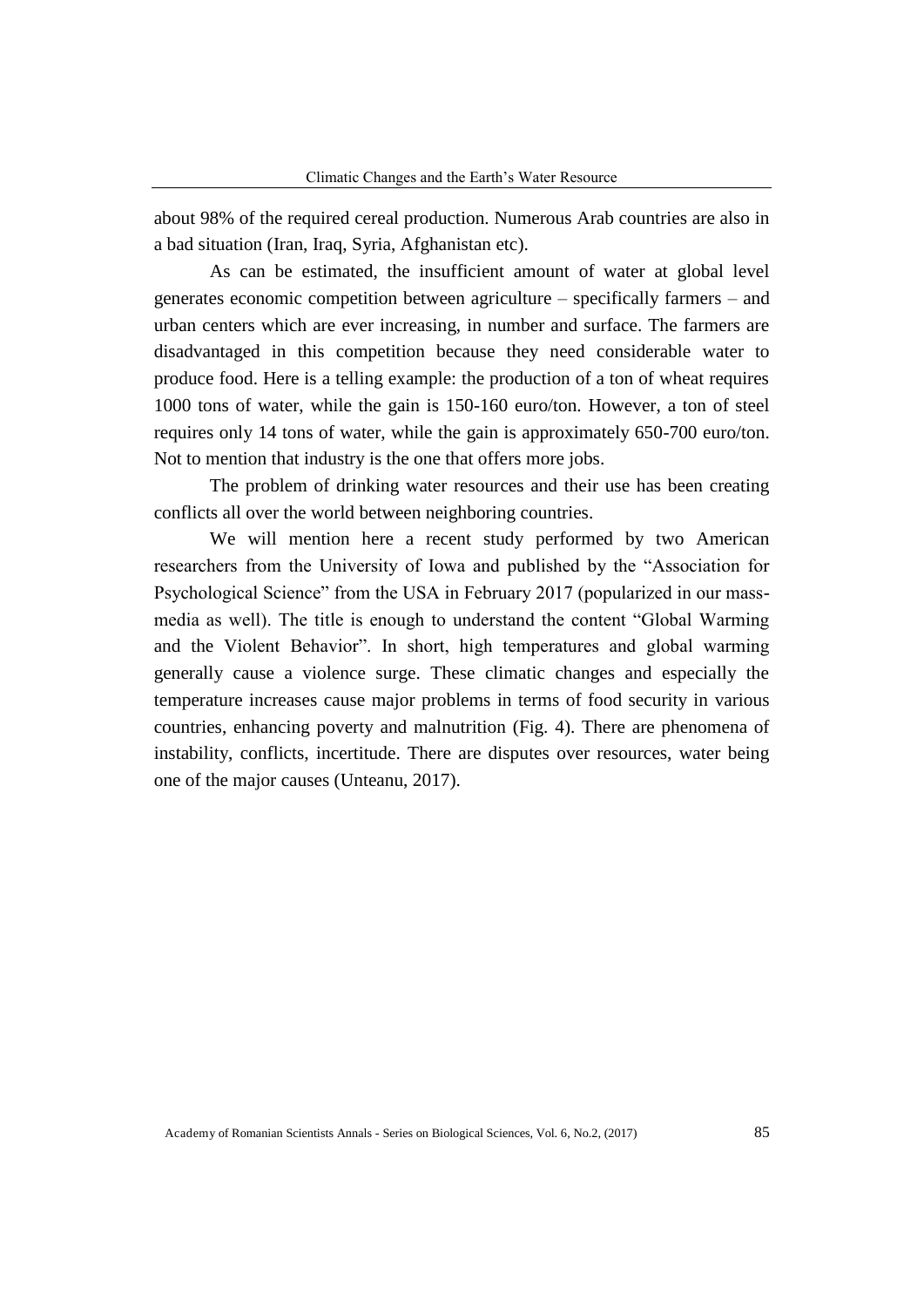about 98% of the required cereal production. Numerous Arab countries are also in a bad situation (Iran, Iraq, Syria, Afghanistan etc).

As can be estimated, the insufficient amount of water at global level generates economic competition between agriculture – specifically farmers – and urban centers which are ever increasing, in number and surface. The farmers are disadvantaged in this competition because they need considerable water to produce food. Here is a telling example: the production of a ton of wheat requires 1000 tons of water, while the gain is 150-160 euro/ton. However, a ton of steel requires only 14 tons of water, while the gain is approximately 650-700 euro/ton. Not to mention that industry is the one that offers more jobs.

The problem of drinking water resources and their use has been creating conflicts all over the world between neighboring countries.

We will mention here a recent study performed by two American researchers from the University of Iowa and published by the "Association for Psychological Science" from the USA in February 2017 (popularized in our massmedia as well). The title is enough to understand the content "Global Warming and the Violent Behavior". In short, high temperatures and global warming generally cause a violence surge. These climatic changes and especially the temperature increases cause major problems in terms of food security in various countries, enhancing poverty and malnutrition (Fig. 4). There are phenomena of instability, conflicts, incertitude. There are disputes over resources, water being one of the major causes (Unteanu, 2017).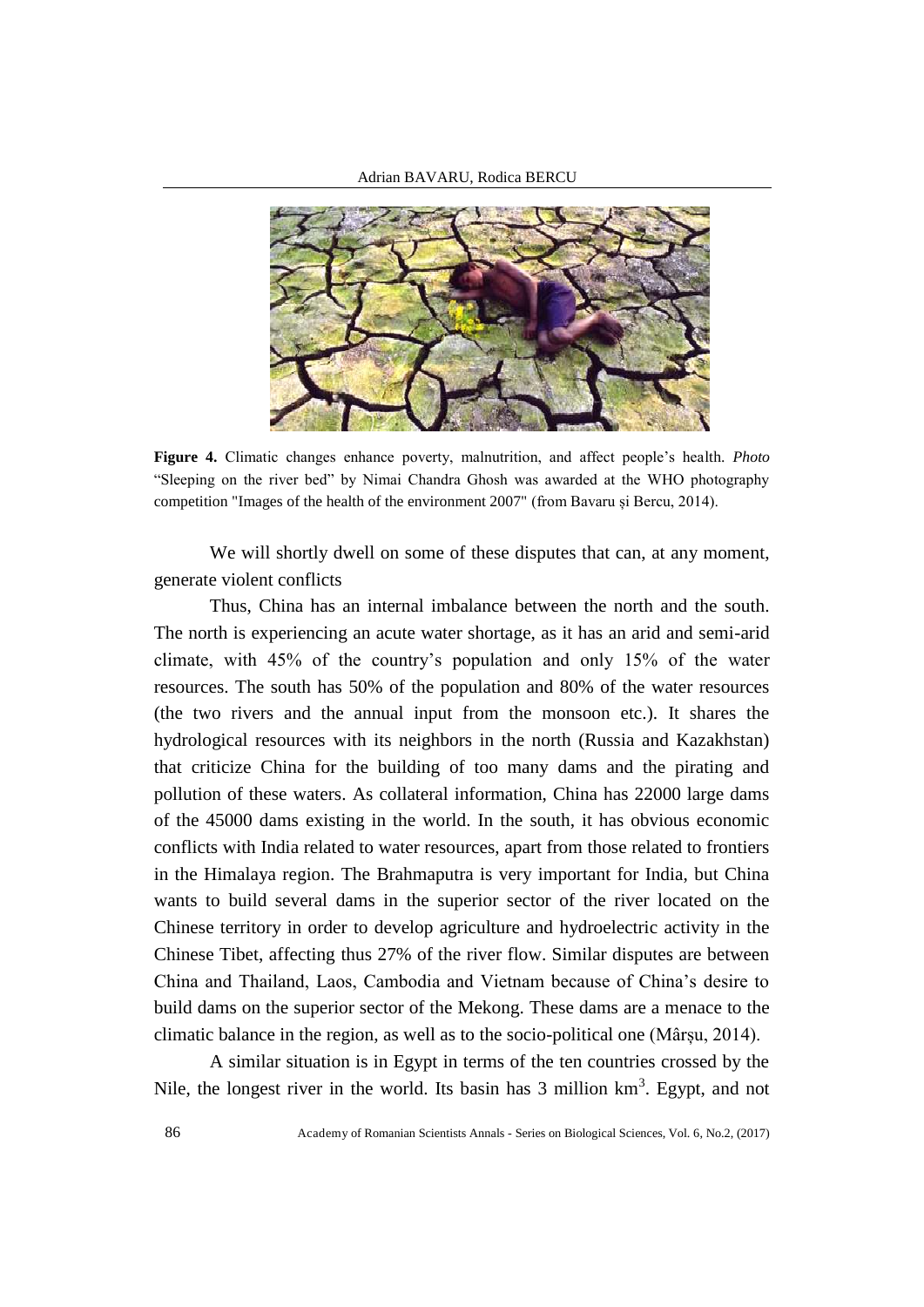

**Figure 4.** Climatic changes enhance poverty, malnutrition, and affect people's health. *Photo* "Sleeping on the river bed" by Nimai Chandra Ghosh was awarded at the WHO photography competition "Images of the health of the environment 2007" (from Bavaru și Bercu, 2014).

We will shortly dwell on some of these disputes that can, at any moment, generate violent conflicts

Thus, China has an internal imbalance between the north and the south. The north is experiencing an acute water shortage, as it has an arid and semi-arid climate, with 45% of the country's population and only 15% of the water resources. The south has 50% of the population and 80% of the water resources (the two rivers and the annual input from the monsoon etc.). It shares the hydrological resources with its neighbors in the north (Russia and Kazakhstan) that criticize China for the building of too many dams and the pirating and pollution of these waters. As collateral information, China has 22000 large dams of the 45000 dams existing in the world. In the south, it has obvious economic conflicts with India related to water resources, apart from those related to frontiers in the Himalaya region. The Brahmaputra is very important for India, but China wants to build several dams in the superior sector of the river located on the Chinese territory in order to develop agriculture and hydroelectric activity in the Chinese Tibet, affecting thus 27% of the river flow. Similar disputes are between China and Thailand, Laos, Cambodia and Vietnam because of China's desire to build dams on the superior sector of the Mekong. These dams are a menace to the climatic balance in the region, as well as to the socio-political one (Mârșu, 2014).

A similar situation is in Egypt in terms of the ten countries crossed by the Nile, the longest river in the world. Its basin has  $3$  million  $km<sup>3</sup>$ . Egypt, and not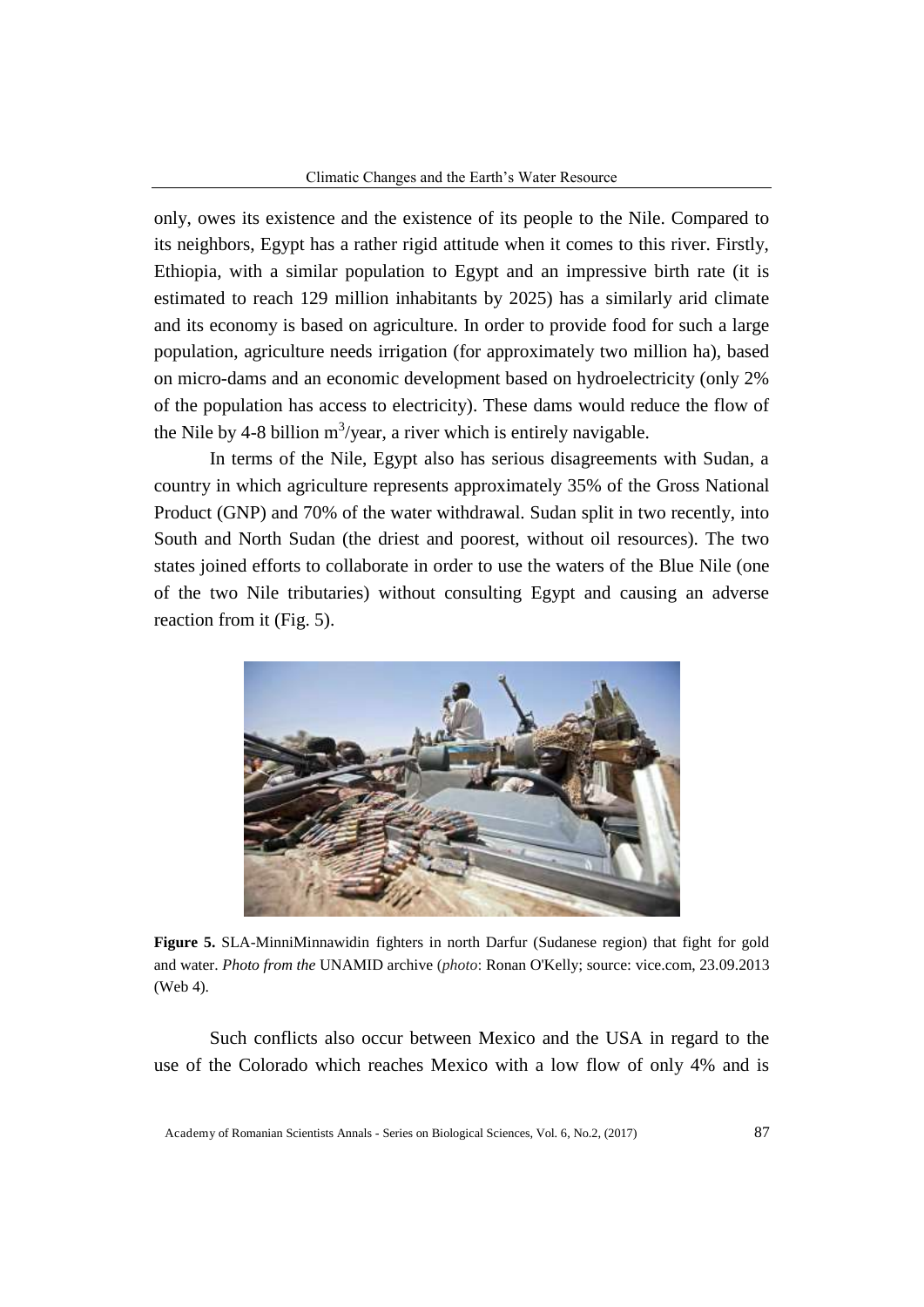only, owes its existence and the existence of its people to the Nile. Compared to its neighbors, Egypt has a rather rigid attitude when it comes to this river. Firstly, Ethiopia, with a similar population to Egypt and an impressive birth rate (it is estimated to reach 129 million inhabitants by 2025) has a similarly arid climate and its economy is based on agriculture. In order to provide food for such a large population, agriculture needs irrigation (for approximately two million ha), based on micro-dams and an economic development based on hydroelectricity (only 2% of the population has access to electricity). These dams would reduce the flow of the Nile by 4-8 billion  $m^3$ /year, a river which is entirely navigable.

In terms of the Nile, Egypt also has serious disagreements with Sudan, a country in which agriculture represents approximately 35% of the Gross National Product (GNP) and 70% of the water withdrawal. Sudan split in two recently, into South and North Sudan (the driest and poorest, without oil resources). The two states joined efforts to collaborate in order to use the waters of the Blue Nile (one of the two Nile tributaries) without consulting Egypt and causing an adverse reaction from it (Fig. 5).



**Figure 5.** SLA-MinniMinnawidin fighters in north Darfur (Sudanese region) that fight for gold and water. *Photo from the* UNAMID archive (*photo*: Ronan O'Kelly; source: vice.com, 23.09.2013 (Web 4).

Such conflicts also occur between Mexico and the USA in regard to the use of the Colorado which reaches Mexico with a low flow of only 4% and is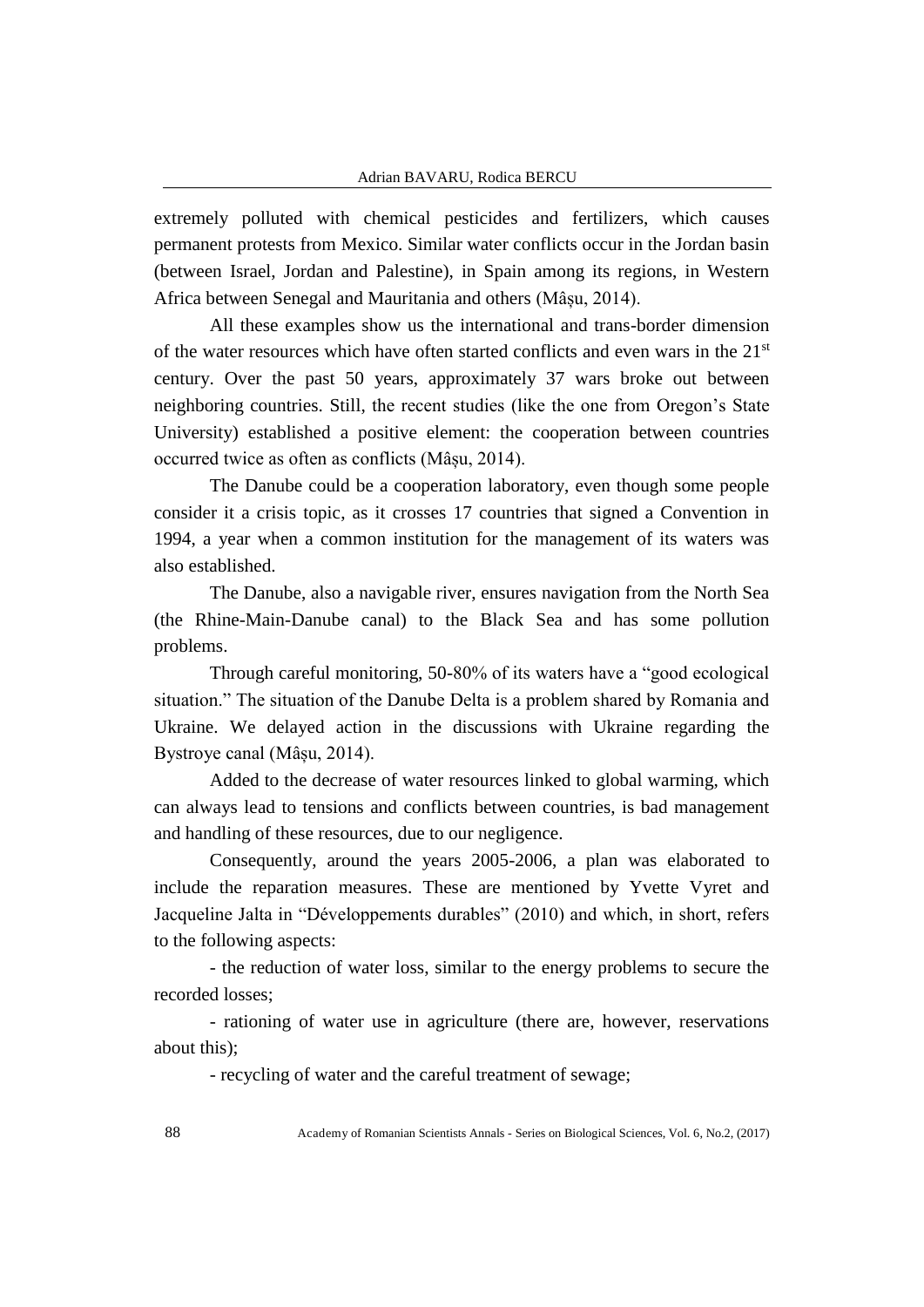extremely polluted with chemical pesticides and fertilizers, which causes permanent protests from Mexico. Similar water conflicts occur in the Jordan basin (between Israel, Jordan and Palestine), in Spain among its regions, in Western Africa between Senegal and Mauritania and others (Mâșu, 2014).

All these examples show us the international and trans-border dimension of the water resources which have often started conflicts and even wars in the  $21<sup>st</sup>$ century. Over the past 50 years, approximately 37 wars broke out between neighboring countries. Still, the recent studies (like the one from Oregon's State University) established a positive element: the cooperation between countries occurred twice as often as conflicts (Mâșu, 2014).

The Danube could be a cooperation laboratory, even though some people consider it a crisis topic, as it crosses 17 countries that signed a Convention in 1994, a year when a common institution for the management of its waters was also established.

The Danube, also a navigable river, ensures navigation from the North Sea (the Rhine-Main-Danube canal) to the Black Sea and has some pollution problems.

Through careful monitoring, 50-80% of its waters have a "good ecological situation." The situation of the Danube Delta is a problem shared by Romania and Ukraine. We delayed action in the discussions with Ukraine regarding the Bystroye canal (Mâșu, 2014).

Added to the decrease of water resources linked to global warming, which can always lead to tensions and conflicts between countries, is bad management and handling of these resources, due to our negligence.

Consequently, around the years 2005-2006, a plan was elaborated to include the reparation measures. These are mentioned by Yvette Vyret and Jacqueline Jalta in "Développements durables" (2010) and which, in short, refers to the following aspects:

- the reduction of water loss, similar to the energy problems to secure the recorded losses;

- rationing of water use in agriculture (there are, however, reservations about this);

- recycling of water and the careful treatment of sewage;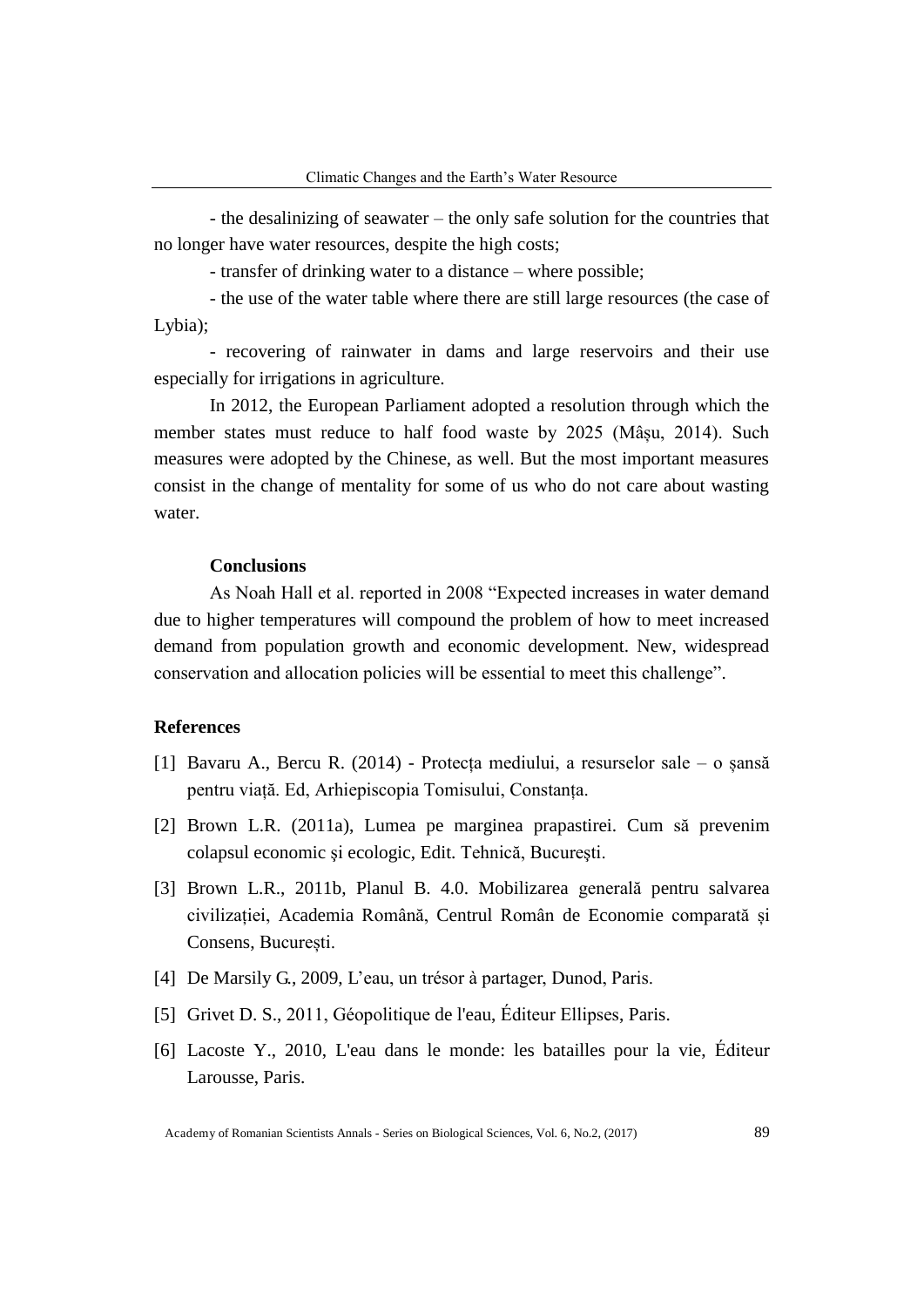- the desalinizing of seawater – the only safe solution for the countries that no longer have water resources, despite the high costs;

- transfer of drinking water to a distance – where possible;

- the use of the water table where there are still large resources (the case of Lybia);

- recovering of rainwater in dams and large reservoirs and their use especially for irrigations in agriculture.

In 2012, the European Parliament adopted a resolution through which the member states must reduce to half food waste by 2025 (Mâșu, 2014). Such measures were adopted by the Chinese, as well. But the most important measures consist in the change of mentality for some of us who do not care about wasting water.

#### **Conclusions**

As Noah Hall et al. reported in 2008 "Expected increases in water demand due to higher temperatures will compound the problem of how to meet increased demand from population growth and economic development. New, widespread conservation and allocation policies will be essential to meet this challenge".

### **References**

- [1] Bavaru A., Bercu R. (2014) Protecța mediului, a resurselor sale o șansă pentru viață. Ed, Arhiepiscopia Tomisului, Constanța.
- [2] Brown L.R. (2011a), Lumea pe marginea prapastirei. Cum să prevenim colapsul economic şi ecologic, Edit. Tehnică, Bucureşti.
- [3] Brown L.R., 2011b, Planul B. 4.0. Mobilizarea generală pentru salvarea civilizației, Academia Română, Centrul Român de Economie comparată și Consens, București.
- [4] De Marsily G., 2009, L'eau, un trésor à partager, Dunod, Paris.
- [5] Grivet D. S., 2011, Géopolitique de l'eau, Éditeur Ellipses, Paris.
- [6] Lacoste Y., 2010, L'eau dans le monde: les batailles pour la vie, Éditeur Larousse, Paris.